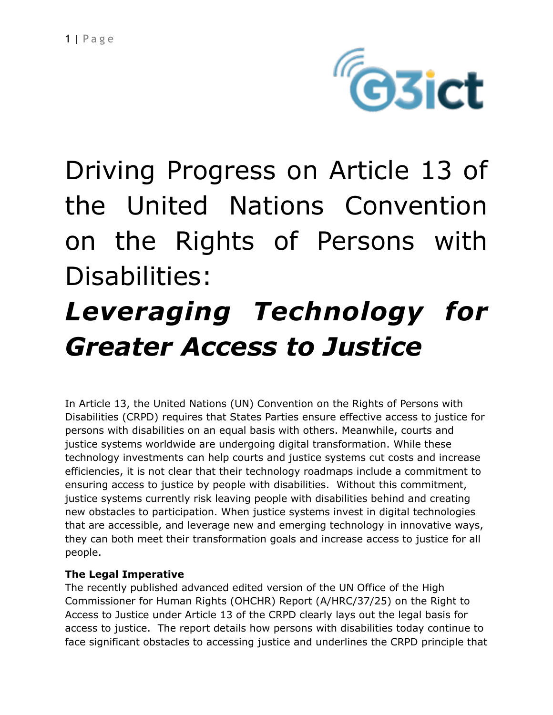

Driving Progress on Article 13 of the United Nations Convention on the Rights of Persons with Disabilities:

# *Leveraging Technology for Greater Access to Justice*

In Article 13, the United Nations (UN) Convention on the Rights of Persons with Disabilities (CRPD) requires that States Parties ensure effective access to justice for persons with disabilities on an equal basis with others. Meanwhile, courts and justice systems worldwide are undergoing digital transformation. While these technology investments can help courts and justice systems cut costs and increase efficiencies, it is not clear that their technology roadmaps include a commitment to ensuring access to justice by people with disabilities. Without this commitment, justice systems currently risk leaving people with disabilities behind and creating new obstacles to participation. When justice systems invest in digital technologies that are accessible, and leverage new and emerging technology in innovative ways, they can both meet their transformation goals and increase access to justice for all people.

## **The Legal Imperative**

The recently published advanced edited version of the UN Office of the High Commissioner for Human Rights (OHCHR) Report (A/HRC/37/25) on the Right to Access to Justice under Article 13 of the CRPD clearly lays out the legal basis for access to justice. The report details how persons with disabilities today continue to face significant obstacles to accessing justice and underlines the CRPD principle that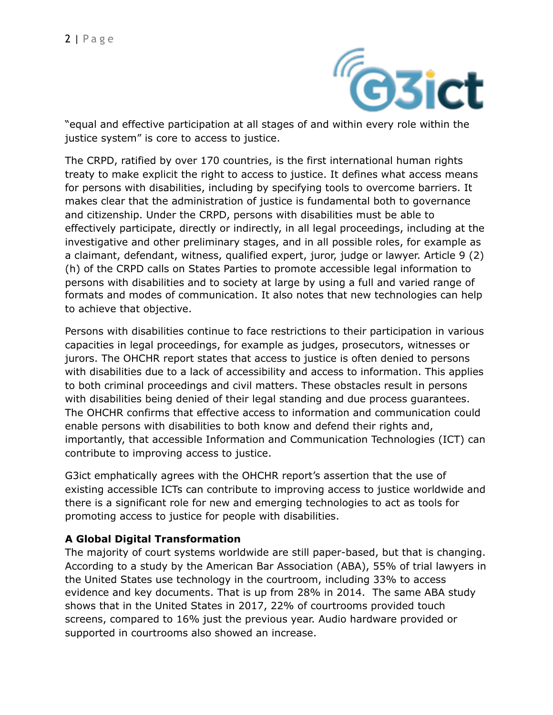

justice system" is core to access to justice.

The CRPD, ratified by over 170 countries, is the first international human rights treaty to make explicit the right to access to justice. It defines what access means for persons with disabilities, including by specifying tools to overcome barriers. It makes clear that the administration of justice is fundamental both to governance and citizenship. Under the CRPD, persons with disabilities must be able to effectively participate, directly or indirectly, in all legal proceedings, including at the investigative and other preliminary stages, and in all possible roles, for example as a claimant, defendant, witness, qualified expert, juror, judge or lawyer. Article 9 (2) (h) of the CRPD calls on States Parties to promote accessible legal information to persons with disabilities and to society at large by using a full and varied range of formats and modes of communication. It also notes that new technologies can help to achieve that objective.

Persons with disabilities continue to face restrictions to their participation in various capacities in legal proceedings, for example as judges, prosecutors, witnesses or jurors. The OHCHR report states that access to justice is often denied to persons with disabilities due to a lack of accessibility and access to information. This applies to both criminal proceedings and civil matters. These obstacles result in persons with disabilities being denied of their legal standing and due process guarantees. The OHCHR confirms that effective access to information and communication could enable persons with disabilities to both know and defend their rights and, importantly, that accessible Information and Communication Technologies (ICT) can contribute to improving access to justice.

G3ict emphatically agrees with the OHCHR report's assertion that the use of existing accessible ICTs can contribute to improving access to justice worldwide and there is a significant role for new and emerging technologies to act as tools for promoting access to justice for people with disabilities.

## **A Global Digital Transformation**

The majority of court systems worldwide are still paper-based, but that is changing. According to a study by the American Bar Association (ABA), 55% of trial lawyers in the United States use technology in the courtroom, including 33% to access evidence and key documents. That is up from 28% in 2014. The same ABA study shows that in the United States in 2017, 22% of courtrooms provided touch screens, compared to 16% just the previous year. Audio hardware provided or supported in courtrooms also showed an increase.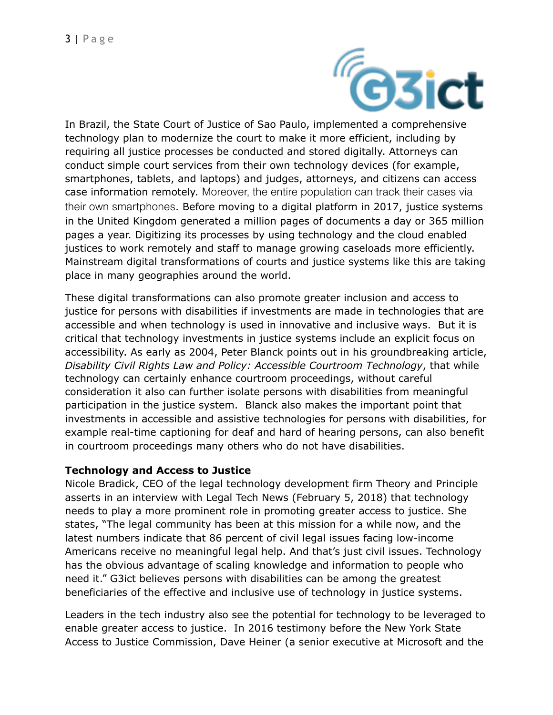

In Brazil, the State Court of Justice of Sao Paulo, implemented a comprehensive technology plan to modernize the court to make it more efficient, including by requiring all justice processes be conducted and stored digitally. Attorneys can conduct simple court services from their own technology devices (for example, smartphones, tablets, and laptops) and judges, attorneys, and citizens can access case information remotely. Moreover, the entire population can track their cases via their own smartphones. Before moving to a digital platform in 2017, justice systems in the United Kingdom generated a million pages of documents a day or 365 million pages a year. Digitizing its processes by using technology and the cloud enabled justices to work remotely and staff to manage growing caseloads more efficiently. Mainstream digital transformations of courts and justice systems like this are taking place in many geographies around the world.

These digital transformations can also promote greater inclusion and access to justice for persons with disabilities if investments are made in technologies that are accessible and when technology is used in innovative and inclusive ways. But it is critical that technology investments in justice systems include an explicit focus on accessibility. As early as 2004, Peter Blanck points out in his groundbreaking article, *Disability Civil Rights Law and Policy: Accessible Courtroom Technology*, that while technology can certainly enhance courtroom proceedings, without careful consideration it also can further isolate persons with disabilities from meaningful participation in the justice system. Blanck also makes the important point that investments in accessible and assistive technologies for persons with disabilities, for example real-time captioning for deaf and hard of hearing persons, can also benefit in courtroom proceedings many others who do not have disabilities.

#### **Technology and Access to Justice**

Nicole Bradick, CEO of the legal technology development firm Theory and Principle asserts in an interview with Legal Tech News (February 5, 2018) that technology needs to play a more prominent role in promoting greater access to justice. She states, "The legal community has been at this mission for a while now, and the latest numbers indicate that 86 percent of civil legal issues facing low-income Americans receive no meaningful legal help. And that's just civil issues. Technology has the obvious advantage of scaling knowledge and information to people who need it." G3ict believes persons with disabilities can be among the greatest beneficiaries of the effective and inclusive use of technology in justice systems.

Leaders in the tech industry also see the potential for technology to be leveraged to enable greater access to justice. In 2016 testimony before the New York State Access to Justice Commission, Dave Heiner (a senior executive at Microsoft and the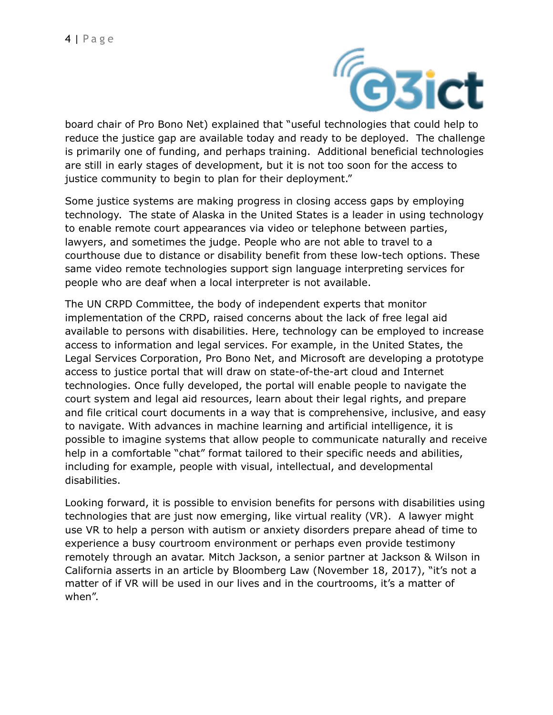

board chair of Pro Bono Net) explained that "useful technologies that could help to reduce the justice gap are available today and ready to be deployed. The challenge is primarily one of funding, and perhaps training. Additional beneficial technologies are still in early stages of development, but it is not too soon for the access to justice community to begin to plan for their deployment."

Some justice systems are making progress in closing access gaps by employing technology. The state of Alaska in the United States is a leader in using technology to enable remote court appearances via video or telephone between parties, lawyers, and sometimes the judge. People who are not able to travel to a courthouse due to distance or disability benefit from these low-tech options. These same video remote technologies support sign language interpreting services for people who are deaf when a local interpreter is not available.

The UN CRPD Committee, the body of independent experts that monitor implementation of the CRPD, raised concerns about the lack of free legal aid available to persons with disabilities. Here, technology can be employed to increase access to information and legal services. For example, in the United States, the Legal Services Corporation, Pro Bono Net, and Microsoft are developing a prototype access to justice portal that will draw on state-of-the-art cloud and Internet technologies. Once fully developed, the portal will enable people to navigate the court system and legal aid resources, learn about their legal rights, and prepare and file critical court documents in a way that is comprehensive, inclusive, and easy to navigate. With advances in machine learning and artificial intelligence, it is possible to imagine systems that allow people to communicate naturally and receive help in a comfortable "chat" format tailored to their specific needs and abilities, including for example, people with visual, intellectual, and developmental disabilities.

Looking forward, it is possible to envision benefits for persons with disabilities using technologies that are just now emerging, like virtual reality (VR). A lawyer might use VR to help a person with autism or anxiety disorders prepare ahead of time to experience a busy courtroom environment or perhaps even provide testimony remotely through an avatar. Mitch Jackson, a senior partner at Jackson & Wilson in California asserts in an article by Bloomberg Law (November 18, 2017), "it's not a matter of if VR will be used in our lives and in the courtrooms, it's a matter of when".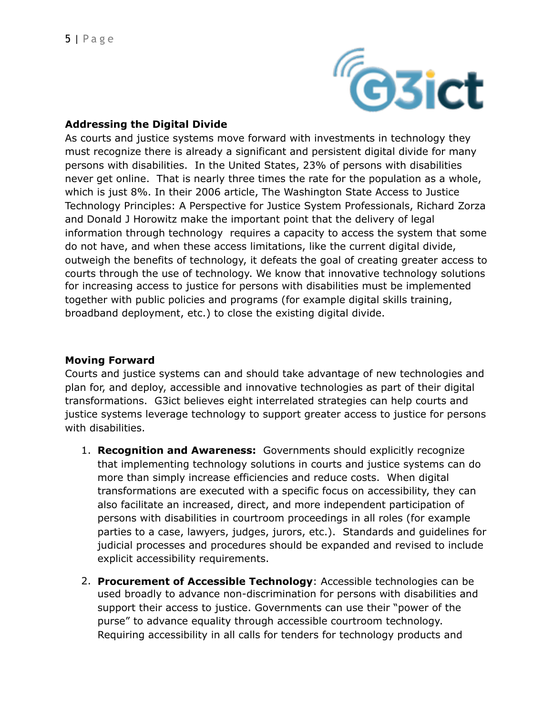

## **Addressing the Digital Divide**

As courts and justice systems move forward with investments in technology they must recognize there is already a significant and persistent digital divide for many persons with disabilities. In the United States, 23% of persons with disabilities never get online. That is nearly three times the rate for the population as a whole, which is just 8%. In their 2006 article, The Washington State Access to Justice Technology Principles: A Perspective for Justice System Professionals, Richard Zorza and Donald J Horowitz make the important point that the delivery of legal information through technology requires a capacity to access the system that some do not have, and when these access limitations, like the current digital divide, outweigh the benefits of technology, it defeats the goal of creating greater access to courts through the use of technology. We know that innovative technology solutions for increasing access to justice for persons with disabilities must be implemented together with public policies and programs (for example digital skills training, broadband deployment, etc.) to close the existing digital divide.

### **Moving Forward**

Courts and justice systems can and should take advantage of new technologies and plan for, and deploy, accessible and innovative technologies as part of their digital transformations. G3ict believes eight interrelated strategies can help courts and justice systems leverage technology to support greater access to justice for persons with disabilities.

- 1. **Recognition and Awareness:** Governments should explicitly recognize that implementing technology solutions in courts and justice systems can do more than simply increase efficiencies and reduce costs. When digital transformations are executed with a specific focus on accessibility, they can also facilitate an increased, direct, and more independent participation of persons with disabilities in courtroom proceedings in all roles (for example parties to a case, lawyers, judges, jurors, etc.). Standards and guidelines for judicial processes and procedures should be expanded and revised to include explicit accessibility requirements.
- 2. **Procurement of Accessible Technology**: Accessible technologies can be used broadly to advance non-discrimination for persons with disabilities and support their access to justice. Governments can use their "power of the purse" to advance equality through accessible courtroom technology. Requiring accessibility in all calls for tenders for technology products and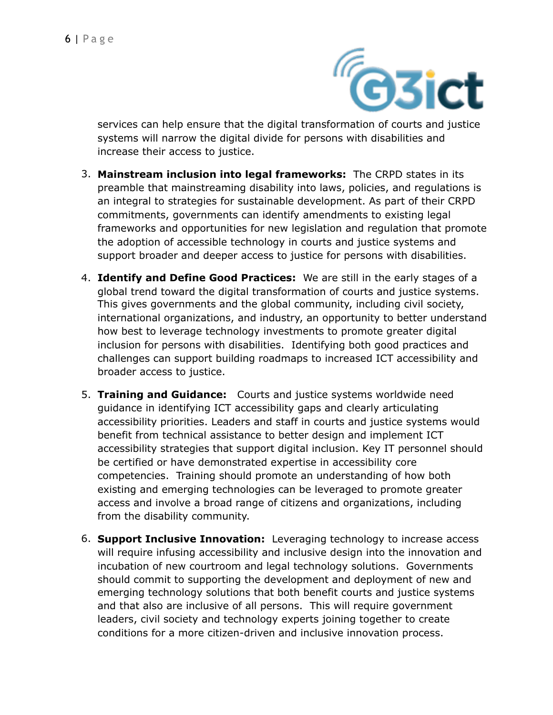

services can help ensure that the digital transformation of courts and justice systems will narrow the digital divide for persons with disabilities and increase their access to justice.

- 3. **Mainstream inclusion into legal frameworks:** The CRPD states in its preamble that mainstreaming disability into laws, policies, and regulations is an integral to strategies for sustainable development. As part of their CRPD commitments, governments can identify amendments to existing legal frameworks and opportunities for new legislation and regulation that promote the adoption of accessible technology in courts and justice systems and support broader and deeper access to justice for persons with disabilities.
- 4. **Identify and Define Good Practices:** We are still in the early stages of a global trend toward the digital transformation of courts and justice systems. This gives governments and the global community, including civil society, international organizations, and industry, an opportunity to better understand how best to leverage technology investments to promote greater digital inclusion for persons with disabilities. Identifying both good practices and challenges can support building roadmaps to increased ICT accessibility and broader access to justice.
- 5. **Training and Guidance:** Courts and justice systems worldwide need guidance in identifying ICT accessibility gaps and clearly articulating accessibility priorities. Leaders and staff in courts and justice systems would benefit from technical assistance to better design and implement ICT accessibility strategies that support digital inclusion. Key IT personnel should be certified or have demonstrated expertise in accessibility core competencies. Training should promote an understanding of how both existing and emerging technologies can be leveraged to promote greater access and involve a broad range of citizens and organizations, including from the disability community.
- 6. **Support Inclusive Innovation:** Leveraging technology to increase access will require infusing accessibility and inclusive design into the innovation and incubation of new courtroom and legal technology solutions. Governments should commit to supporting the development and deployment of new and emerging technology solutions that both benefit courts and justice systems and that also are inclusive of all persons. This will require government leaders, civil society and technology experts joining together to create conditions for a more citizen-driven and inclusive innovation process.